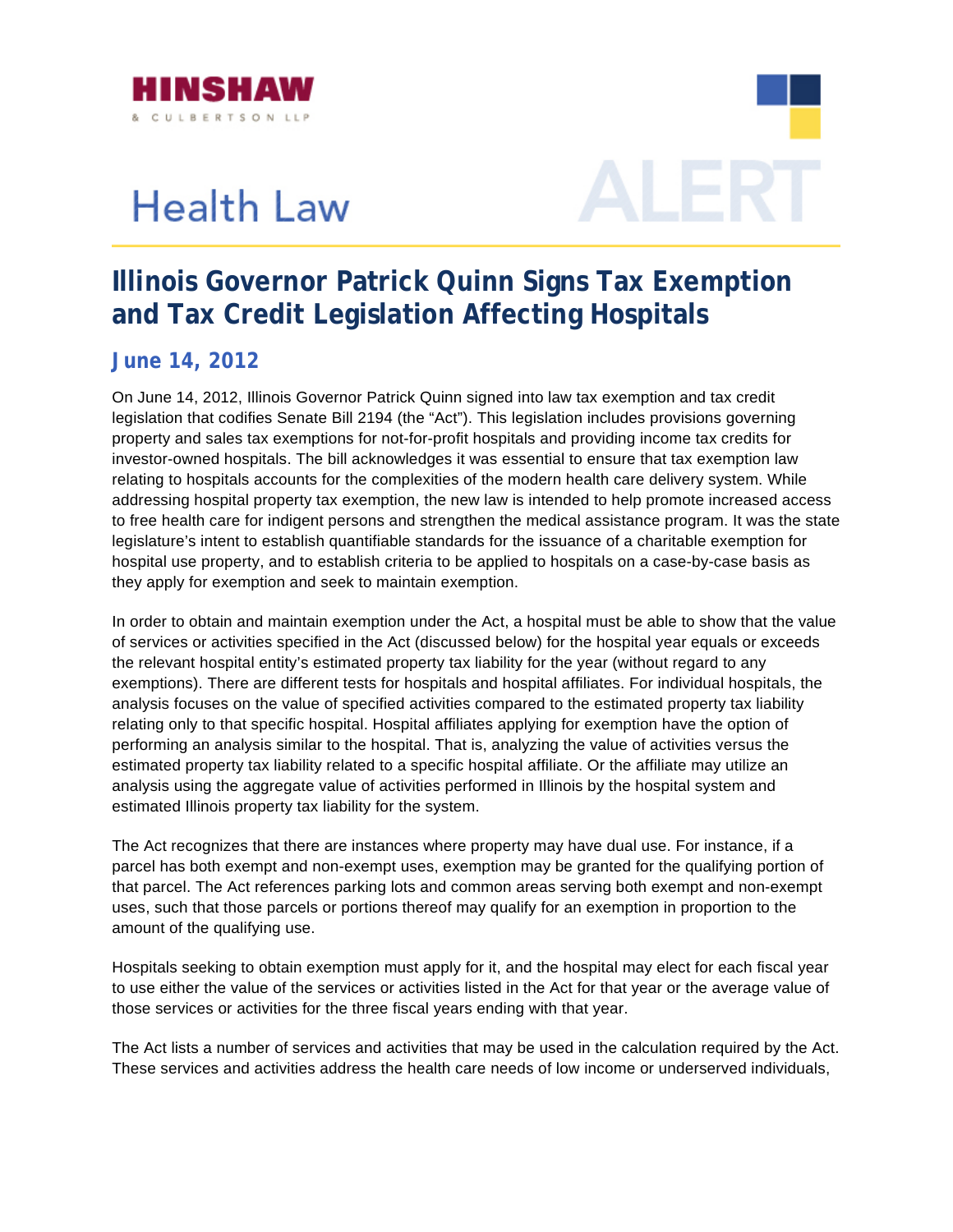

## **Health Law**



## **Illinois Governor Patrick Quinn Signs Tax Exemption and Tax Credit Legislation Affecting Hospitals**

## **June 14, 2012**

hospital use property, and to establish criteria to be applied to hospitals on a case-by-case basis as On June 14, 2012, Illinois Governor Patrick Quinn signed into law tax exemption and tax credit legislation that codifies Senate Bill 2194 (the "Act"). This legislation includes provisions governing property and sales tax exemptions for not-for-profit hospitals and providing income tax credits for investor-owned hospitals. The bill acknowledges it was essential to ensure that tax exemption law relating to hospitals accounts for the complexities of the modern health care delivery system. While addressing hospital property tax exemption, the new law is intended to help promote increased access to free health care for indigent persons and strengthen the medical assistance program. It was the state legislature's intent to establish quantifiable standards for the issuance of a charitable exemption for they apply for exemption and seek to maintain exemption.

In order to obtain and maintain exemption under the Act, a hospital must be able to show that the value of services or activities specified in the Act (discussed below) for the hospital year equals or exceeds exemptions). There are different tests for hospitals and hospital affiliates. For individual hospitals, the analysis focuses on the value of specified activities compared to the estimated property tax liability analysis using the aggregate value of activities performed in Illinois by the hospital system and the relevant hospital entity's estimated property tax liability for the year (without regard to any relating only to that specific hospital. Hospital affiliates applying for exemption have the option of performing an analysis similar to the hospital. That is, analyzing the value of activities versus the estimated property tax liability related to a specific hospital affiliate. Or the affiliate may utilize an estimated Illinois property tax liability for the system.

that parcel. The Act references parking lots and common areas serving both exempt and non-exempt uses, such that those parcels or portions thereof may qualify for an exemption in proportion to the The Act recognizes that there are instances where property may have dual use. For instance, if a parcel has both exempt and non-exempt uses, exemption may be granted for the qualifying portion of amount of the qualifying use.

Hospitals seeking to obtain exemption must apply for it, and the hospital may elect for each fiscal year to use either the value of the services or activities listed in the Act for that year or the average value of those services or activities for the three fiscal years ending with that year.

The Act lists a number of services and activities that may be used in the calculation required by the Act. These services and activities address the health care needs of low income or underserved individuals,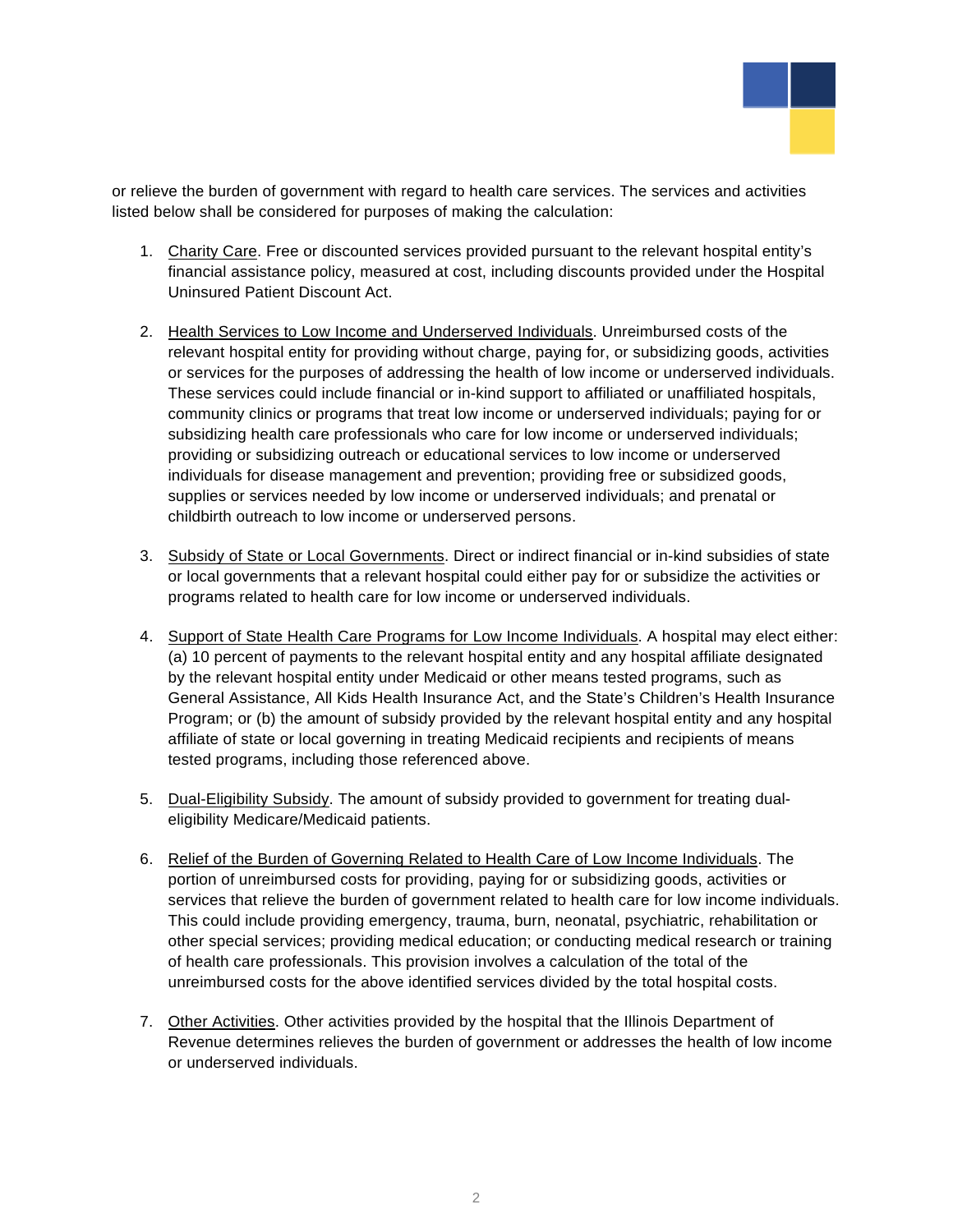

or relieve the burden of government with regard to health care services. The services and activities listed below shall be considered for purposes of making the calculation:

- 1. Charity Care. Free or discounted services provided pursuant to the relevant hospital entity's financial assistance policy, measured at cost, including discounts provided under the Hospital Uninsured Patient Discount Act.
- 2. Health Services to Low Income and Underserved Individuals. Unreimbursed costs of the relevant hospital entity for providing without charge, paying for, or subsidizing goods, activities or services for the purposes of addressing the health of low income or underserved individu als. These services could include financial or in-kind support to affiliated or unaffiliated hospitals, community clinics or programs that treat low income or underserved individuals; paying fo r or subsidizing health care professionals who care for low income or underserved individual s; providing or subsidizing outreach or educational services to low income or underserved individuals for disease management and prevention; providing free or subsidized goods, supplies or services needed by low income or underserved individuals; and prenatal or childbirth outreach to low income or underserved persons.
- 3. Subsidy of State or Local Governments. Direct or indirect financial or in-kind subsidies of state or local governments that a relevant hospital could either pay for or subsidize the activities or programs related to health care for low income or underserved individuals.
- 4. Support of State Health Care Programs for Low Income Individuals. A hospital may elect either: (a) 10 percent of payments to the relevant hospital entity and any hospital affiliate designated by the relevant hospital entity under Medicaid or othe r means tested programs, such as General Assistance, All Kids Health Insurance Act, and the State's Children's Health Insurance Program; or (b) the amount of subsidy provided by the relevant hospital entity and any hospital affiliate of state or local governing in treating Medicaid recipients and recipients of means tested programs, including those referenced above.
- 5. Dual-Eligibility Subsidy. The amount of subsidy provided to government for treating dualeligibility Medicare/Medicaid patients.
- 6. Relief of the Burden of Governing Related to Health Care of Low Income Individuals. The services that relieve the burden of government related to health care for low income individuals. other special services; providing medical education; or conducting medical research or training of health care professionals. This provision involves a calculation of the total of the portion of unreimbursed costs for providing, paying for or subsidizing goods, activities or This could include providing emergency, trauma, burn, neonatal, psychiatric, rehabilitation or unreimbursed costs for the above identified services divided by the total hospital costs.
- 7. Other Activities. Other activities provided by the hospital that the Illinois Department of Revenue determines relieves the burden of government or addresses the health of low income or underserved individuals.